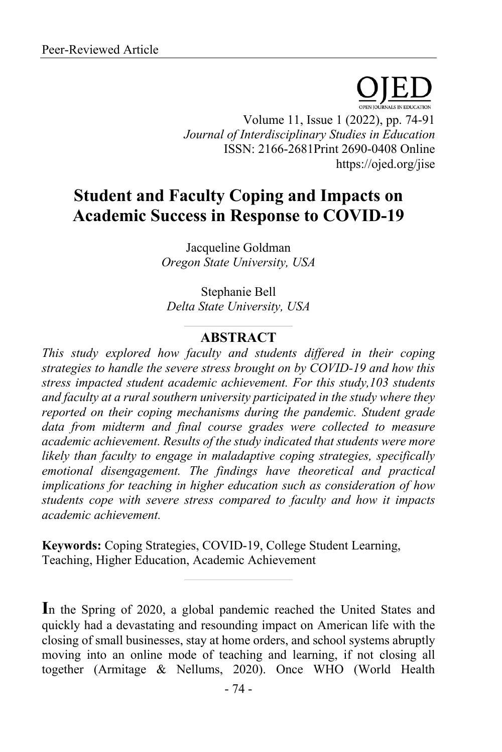Volume 11, Issue 1 (2022), pp. 74-91 *Journal of Interdisciplinary Studies in Education* ISSN: 2166-2681Print 2690-0408 Online https://ojed.org/jise

# **Student and Faculty Coping and Impacts on Academic Success in Response to COVID-19**

Jacqueline Goldman *Oregon State University, USA*

Stephanie Bell *Delta State University, USA*

# **ABSTRACT**

*This study explored how faculty and students differed in their coping strategies to handle the severe stress brought on by COVID-19 and how this stress impacted student academic achievement. For this study,103 students and faculty at a rural southern university participated in the study where they reported on their coping mechanisms during the pandemic. Student grade data from midterm and final course grades were collected to measure academic achievement. Results of the study indicated that students were more likely than faculty to engage in maladaptive coping strategies, specifically emotional disengagement. The findings have theoretical and practical implications for teaching in higher education such as consideration of how students cope with severe stress compared to faculty and how it impacts academic achievement.*

**Keywords:** Coping Strategies, COVID-19, College Student Learning, Teaching, Higher Education, Academic Achievement

**I**n the Spring of 2020, a global pandemic reached the United States and quickly had a devastating and resounding impact on American life with the closing of small businesses, stay at home orders, and school systems abruptly moving into an online mode of teaching and learning, if not closing all together (Armitage & Nellums, 2020). Once WHO (World Health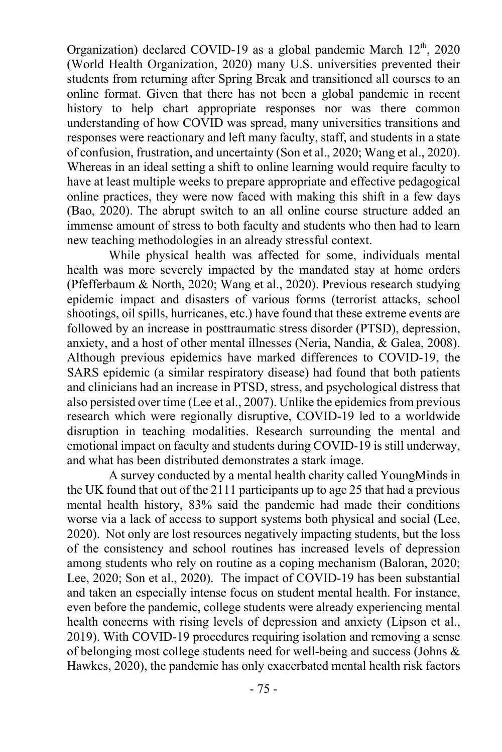Organization) declared COVID-19 as a global pandemic March  $12<sup>th</sup>$ , 2020 (World Health Organization, 2020) many U.S. universities prevented their students from returning after Spring Break and transitioned all courses to an online format. Given that there has not been a global pandemic in recent history to help chart appropriate responses nor was there common understanding of how COVID was spread, many universities transitions and responses were reactionary and left many faculty, staff, and students in a state of confusion, frustration, and uncertainty (Son et al., 2020; Wang et al., 2020). Whereas in an ideal setting a shift to online learning would require faculty to have at least multiple weeks to prepare appropriate and effective pedagogical online practices, they were now faced with making this shift in a few days (Bao, 2020). The abrupt switch to an all online course structure added an immense amount of stress to both faculty and students who then had to learn new teaching methodologies in an already stressful context.

While physical health was affected for some, individuals mental health was more severely impacted by the mandated stay at home orders (Pfefferbaum & North, 2020; Wang et al., 2020). Previous research studying epidemic impact and disasters of various forms (terrorist attacks, school shootings, oil spills, hurricanes, etc.) have found that these extreme events are followed by an increase in posttraumatic stress disorder (PTSD), depression, anxiety, and a host of other mental illnesses (Neria, Nandia, & Galea, 2008). Although previous epidemics have marked differences to COVID-19, the SARS epidemic (a similar respiratory disease) had found that both patients and clinicians had an increase in PTSD, stress, and psychological distress that also persisted over time (Lee et al., 2007). Unlike the epidemics from previous research which were regionally disruptive, COVID-19 led to a worldwide disruption in teaching modalities. Research surrounding the mental and emotional impact on faculty and students during COVID-19 is still underway, and what has been distributed demonstrates a stark image.

A survey conducted by a mental health charity called YoungMinds in the UK found that out of the 2111 participants up to age 25 that had a previous mental health history, 83% said the pandemic had made their conditions worse via a lack of access to support systems both physical and social (Lee, 2020). Not only are lost resources negatively impacting students, but the loss of the consistency and school routines has increased levels of depression among students who rely on routine as a coping mechanism (Baloran, 2020; Lee, 2020; Son et al., 2020). The impact of COVID-19 has been substantial and taken an especially intense focus on student mental health. For instance, even before the pandemic, college students were already experiencing mental health concerns with rising levels of depression and anxiety (Lipson et al., 2019). With COVID-19 procedures requiring isolation and removing a sense of belonging most college students need for well-being and success (Johns & Hawkes, 2020), the pandemic has only exacerbated mental health risk factors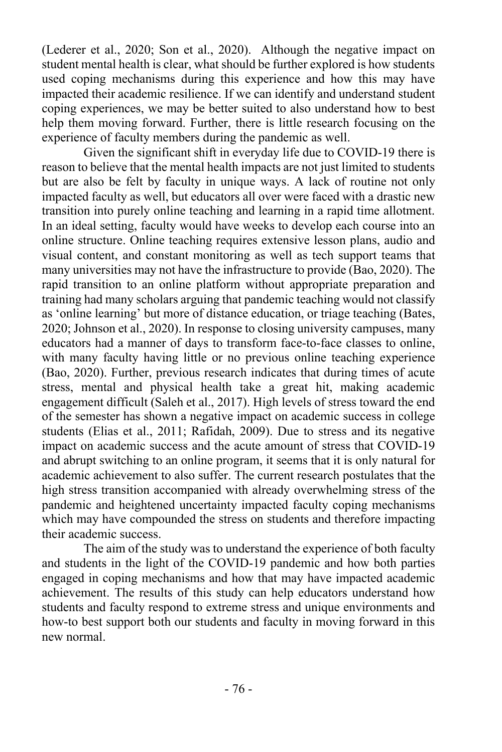(Lederer et al., 2020; Son et al., 2020). Although the negative impact on student mental health is clear, what should be further explored is how students used coping mechanisms during this experience and how this may have impacted their academic resilience. If we can identify and understand student coping experiences, we may be better suited to also understand how to best help them moving forward. Further, there is little research focusing on the experience of faculty members during the pandemic as well.

Given the significant shift in everyday life due to COVID-19 there is reason to believe that the mental health impacts are not just limited to students but are also be felt by faculty in unique ways. A lack of routine not only impacted faculty as well, but educators all over were faced with a drastic new transition into purely online teaching and learning in a rapid time allotment. In an ideal setting, faculty would have weeks to develop each course into an online structure. Online teaching requires extensive lesson plans, audio and visual content, and constant monitoring as well as tech support teams that many universities may not have the infrastructure to provide (Bao, 2020). The rapid transition to an online platform without appropriate preparation and training had many scholars arguing that pandemic teaching would not classify as 'online learning' but more of distance education, or triage teaching (Bates, 2020; Johnson et al., 2020). In response to closing university campuses, many educators had a manner of days to transform face-to-face classes to online, with many faculty having little or no previous online teaching experience (Bao, 2020). Further, previous research indicates that during times of acute stress, mental and physical health take a great hit, making academic engagement difficult (Saleh et al., 2017). High levels of stress toward the end of the semester has shown a negative impact on academic success in college students (Elias et al., 2011; Rafidah, 2009). Due to stress and its negative impact on academic success and the acute amount of stress that COVID-19 and abrupt switching to an online program, it seems that it is only natural for academic achievement to also suffer. The current research postulates that the high stress transition accompanied with already overwhelming stress of the pandemic and heightened uncertainty impacted faculty coping mechanisms which may have compounded the stress on students and therefore impacting their academic success.

The aim of the study was to understand the experience of both faculty and students in the light of the COVID-19 pandemic and how both parties engaged in coping mechanisms and how that may have impacted academic achievement. The results of this study can help educators understand how students and faculty respond to extreme stress and unique environments and how-to best support both our students and faculty in moving forward in this new normal.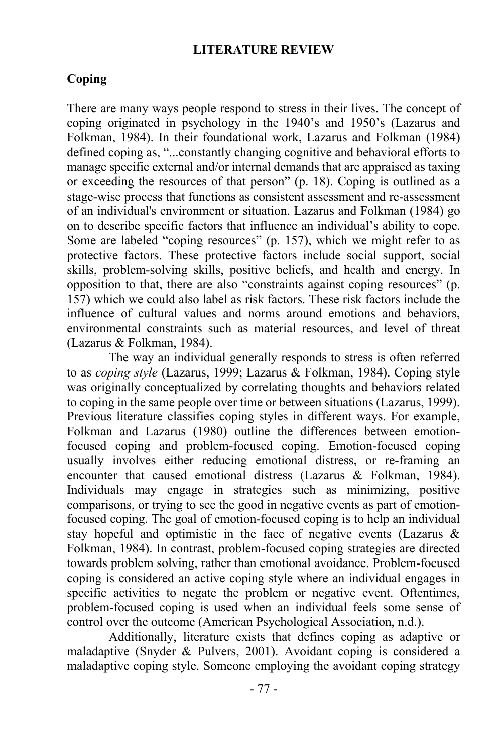## **LITERATURE REVIEW**

# **Coping**

There are many ways people respond to stress in their lives. The concept of coping originated in psychology in the 1940's and 1950's (Lazarus and Folkman, 1984). In their foundational work, Lazarus and Folkman (1984) defined coping as, "...constantly changing cognitive and behavioral efforts to manage specific external and/or internal demands that are appraised as taxing or exceeding the resources of that person" (p. 18). Coping is outlined as a stage-wise process that functions as consistent assessment and re-assessment of an individual's environment or situation. Lazarus and Folkman (1984) go on to describe specific factors that influence an individual's ability to cope. Some are labeled "coping resources" (p. 157), which we might refer to as protective factors. These protective factors include social support, social skills, problem-solving skills, positive beliefs, and health and energy. In opposition to that, there are also "constraints against coping resources" (p. 157) which we could also label as risk factors. These risk factors include the influence of cultural values and norms around emotions and behaviors, environmental constraints such as material resources, and level of threat (Lazarus & Folkman, 1984).

The way an individual generally responds to stress is often referred to as *coping style* (Lazarus, 1999; Lazarus & Folkman, 1984). Coping style was originally conceptualized by correlating thoughts and behaviors related to coping in the same people over time or between situations (Lazarus, 1999). Previous literature classifies coping styles in different ways. For example, Folkman and Lazarus (1980) outline the differences between emotionfocused coping and problem-focused coping. Emotion-focused coping usually involves either reducing emotional distress, or re-framing an encounter that caused emotional distress (Lazarus & Folkman, 1984). Individuals may engage in strategies such as minimizing, positive comparisons, or trying to see the good in negative events as part of emotionfocused coping. The goal of emotion-focused coping is to help an individual stay hopeful and optimistic in the face of negative events (Lazarus & Folkman, 1984). In contrast, problem-focused coping strategies are directed towards problem solving, rather than emotional avoidance. Problem-focused coping is considered an active coping style where an individual engages in specific activities to negate the problem or negative event. Oftentimes, problem-focused coping is used when an individual feels some sense of control over the outcome (American Psychological Association, n.d.).

Additionally, literature exists that defines coping as adaptive or maladaptive (Snyder & Pulvers, 2001). Avoidant coping is considered a maladaptive coping style. Someone employing the avoidant coping strategy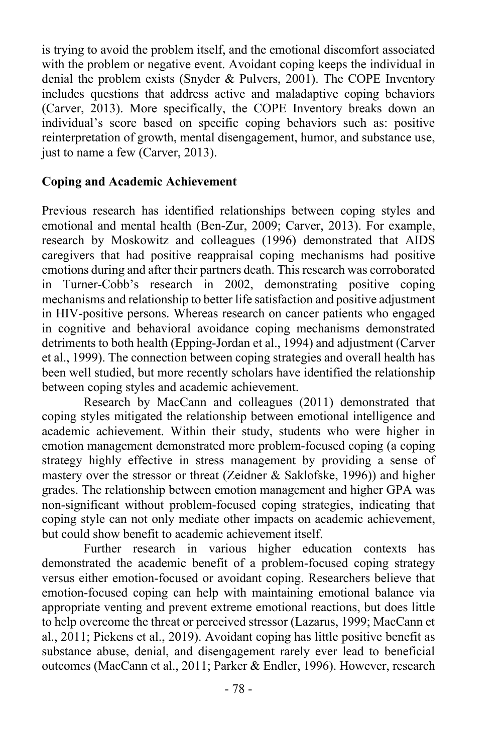is trying to avoid the problem itself, and the emotional discomfort associated with the problem or negative event. Avoidant coping keeps the individual in denial the problem exists (Snyder & Pulvers, 2001). The COPE Inventory includes questions that address active and maladaptive coping behaviors (Carver, 2013). More specifically, the COPE Inventory breaks down an individual's score based on specific coping behaviors such as: positive reinterpretation of growth, mental disengagement, humor, and substance use, just to name a few (Carver, 2013).

# **Coping and Academic Achievement**

Previous research has identified relationships between coping styles and emotional and mental health (Ben-Zur, 2009; Carver, 2013). For example, research by Moskowitz and colleagues (1996) demonstrated that AIDS caregivers that had positive reappraisal coping mechanisms had positive emotions during and after their partners death. This research was corroborated in Turner-Cobb's research in 2002, demonstrating positive coping mechanisms and relationship to better life satisfaction and positive adjustment in HIV-positive persons. Whereas research on cancer patients who engaged in cognitive and behavioral avoidance coping mechanisms demonstrated detriments to both health (Epping-Jordan et al., 1994) and adjustment (Carver et al., 1999). The connection between coping strategies and overall health has been well studied, but more recently scholars have identified the relationship between coping styles and academic achievement.

Research by MacCann and colleagues (2011) demonstrated that coping styles mitigated the relationship between emotional intelligence and academic achievement. Within their study, students who were higher in emotion management demonstrated more problem-focused coping (a coping strategy highly effective in stress management by providing a sense of mastery over the stressor or threat (Zeidner & Saklofske, 1996)) and higher grades. The relationship between emotion management and higher GPA was non-significant without problem-focused coping strategies, indicating that coping style can not only mediate other impacts on academic achievement, but could show benefit to academic achievement itself.

Further research in various higher education contexts has demonstrated the academic benefit of a problem-focused coping strategy versus either emotion-focused or avoidant coping. Researchers believe that emotion-focused coping can help with maintaining emotional balance via appropriate venting and prevent extreme emotional reactions, but does little to help overcome the threat or perceived stressor (Lazarus, 1999; MacCann et al., 2011; Pickens et al., 2019). Avoidant coping has little positive benefit as substance abuse, denial, and disengagement rarely ever lead to beneficial outcomes (MacCann et al., 2011; Parker & Endler, 1996). However, research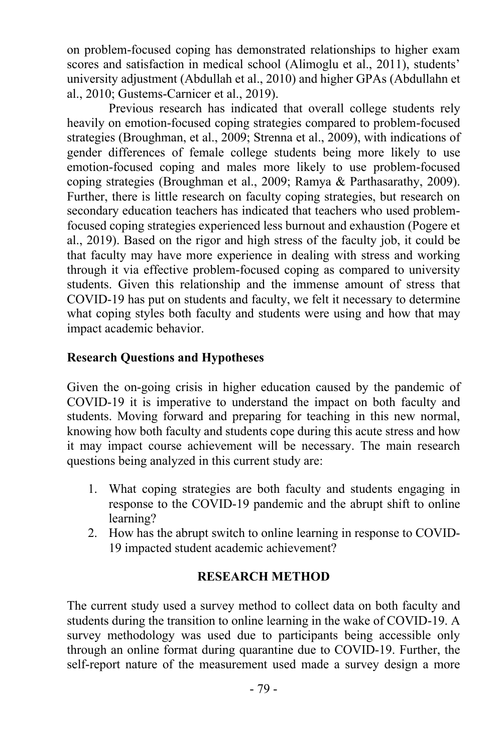on problem-focused coping has demonstrated relationships to higher exam scores and satisfaction in medical school (Alimoglu et al., 2011), students' university adjustment (Abdullah et al., 2010) and higher GPAs (Abdullahn et al., 2010; Gustems-Carnicer et al., 2019).

Previous research has indicated that overall college students rely heavily on emotion-focused coping strategies compared to problem-focused strategies (Broughman, et al., 2009; Strenna et al., 2009), with indications of gender differences of female college students being more likely to use emotion-focused coping and males more likely to use problem-focused coping strategies (Broughman et al., 2009; Ramya & Parthasarathy, 2009). Further, there is little research on faculty coping strategies, but research on secondary education teachers has indicated that teachers who used problemfocused coping strategies experienced less burnout and exhaustion (Pogere et al., 2019). Based on the rigor and high stress of the faculty job, it could be that faculty may have more experience in dealing with stress and working through it via effective problem-focused coping as compared to university students. Given this relationship and the immense amount of stress that COVID-19 has put on students and faculty, we felt it necessary to determine what coping styles both faculty and students were using and how that may impact academic behavior.

# **Research Questions and Hypotheses**

Given the on-going crisis in higher education caused by the pandemic of COVID-19 it is imperative to understand the impact on both faculty and students. Moving forward and preparing for teaching in this new normal, knowing how both faculty and students cope during this acute stress and how it may impact course achievement will be necessary. The main research questions being analyzed in this current study are:

- 1. What coping strategies are both faculty and students engaging in response to the COVID-19 pandemic and the abrupt shift to online learning?
- 2. How has the abrupt switch to online learning in response to COVID-19 impacted student academic achievement?

## **RESEARCH METHOD**

The current study used a survey method to collect data on both faculty and students during the transition to online learning in the wake of COVID-19. A survey methodology was used due to participants being accessible only through an online format during quarantine due to COVID-19. Further, the self-report nature of the measurement used made a survey design a more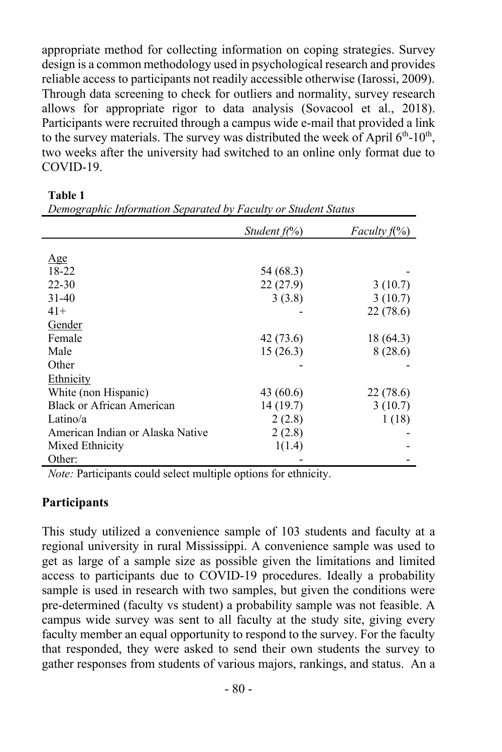appropriate method for collecting information on coping strategies. Survey design is a common methodology used in psychological research and provides reliable access to participants not readily accessible otherwise (Iarossi, 2009). Through data screening to check for outliers and normality, survey research allows for appropriate rigor to data analysis (Sovacool et al., 2018). Participants were recruited through a campus wide e-mail that provided a link to the survey materials. The survey was distributed the week of April  $6<sup>th</sup>$ -10<sup>th</sup>, two weeks after the university had switched to an online only format due to COVID-19.

| ۰.<br>۰,<br>٧ |  |
|---------------|--|
|---------------|--|

|                                  | Student $f(\%)$ | <i>Faculty</i> $f(\%)$ |
|----------------------------------|-----------------|------------------------|
|                                  |                 |                        |
|                                  |                 |                        |
| Age                              |                 |                        |
| 18-22                            | 54 (68.3)       |                        |
| $22 - 30$                        | 22(27.9)        | 3(10.7)                |
| $31-40$                          | 3(3.8)          | 3(10.7)                |
| $41+$                            |                 | 22(78.6)               |
| Gender                           |                 |                        |
| Female                           | 42 (73.6)       | 18 (64.3)              |
| Male                             | 15(26.3)        | 8(28.6)                |
| Other                            |                 |                        |
| Ethnicity                        |                 |                        |
| White (non Hispanic)             | 43 $(60.6)$     | 22 (78.6)              |
| Black or African American        | 14(19.7)        | 3(10.7)                |
| Latino/a                         | 2(2.8)          | 1(18)                  |
| American Indian or Alaska Native | 2(2.8)          |                        |
| Mixed Ethnicity                  | 1(1.4)          |                        |
| Other:                           |                 |                        |

*Demographic Information Separated by Faculty or Student Status* 

*Note:* Participants could select multiple options for ethnicity.

## **Participants**

This study utilized a convenience sample of 103 students and faculty at a regional university in rural Mississippi. A convenience sample was used to get as large of a sample size as possible given the limitations and limited access to participants due to COVID-19 procedures. Ideally a probability sample is used in research with two samples, but given the conditions were pre-determined (faculty vs student) a probability sample was not feasible. A campus wide survey was sent to all faculty at the study site, giving every faculty member an equal opportunity to respond to the survey. For the faculty that responded, they were asked to send their own students the survey to gather responses from students of various majors, rankings, and status. An a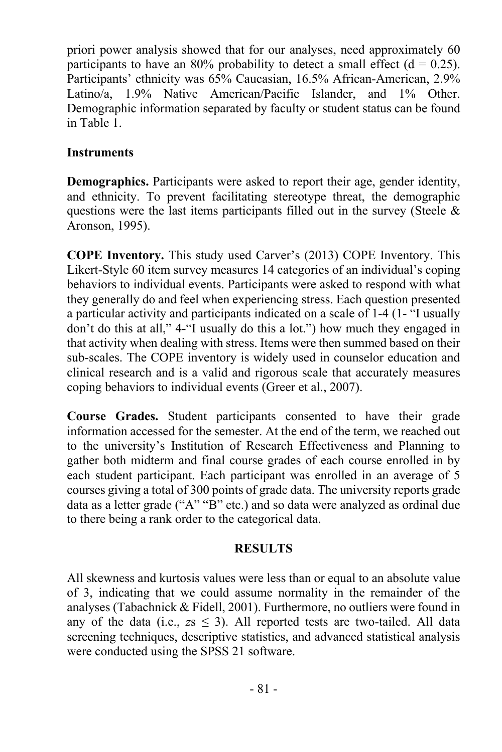priori power analysis showed that for our analyses, need approximately 60 participants to have an 80% probability to detect a small effect  $(d = 0.25)$ . Participants' ethnicity was 65% Caucasian, 16.5% African-American, 2.9% Latino/a, 1.9% Native American/Pacific Islander, and 1% Other. Demographic information separated by faculty or student status can be found in Table 1.

## **Instruments**

**Demographics.** Participants were asked to report their age, gender identity, and ethnicity. To prevent facilitating stereotype threat, the demographic questions were the last items participants filled out in the survey (Steele  $\&$ Aronson, 1995).

**COPE Inventory.** This study used Carver's (2013) COPE Inventory. This Likert-Style 60 item survey measures 14 categories of an individual's coping behaviors to individual events. Participants were asked to respond with what they generally do and feel when experiencing stress. Each question presented a particular activity and participants indicated on a scale of 1-4 (1- "I usually don't do this at all," 4-"I usually do this a lot.") how much they engaged in that activity when dealing with stress. Items were then summed based on their sub-scales. The COPE inventory is widely used in counselor education and clinical research and is a valid and rigorous scale that accurately measures coping behaviors to individual events (Greer et al., 2007).

**Course Grades.** Student participants consented to have their grade information accessed for the semester. At the end of the term, we reached out to the university's Institution of Research Effectiveness and Planning to gather both midterm and final course grades of each course enrolled in by each student participant. Each participant was enrolled in an average of 5 courses giving a total of 300 points of grade data. The university reports grade data as a letter grade ("A" "B" etc.) and so data were analyzed as ordinal due to there being a rank order to the categorical data.

## **RESULTS**

All skewness and kurtosis values were less than or equal to an absolute value of 3, indicating that we could assume normality in the remainder of the analyses (Tabachnick & Fidell, 2001). Furthermore, no outliers were found in any of the data (i.e.,  $zs \leq 3$ ). All reported tests are two-tailed. All data screening techniques, descriptive statistics, and advanced statistical analysis were conducted using the SPSS 21 software.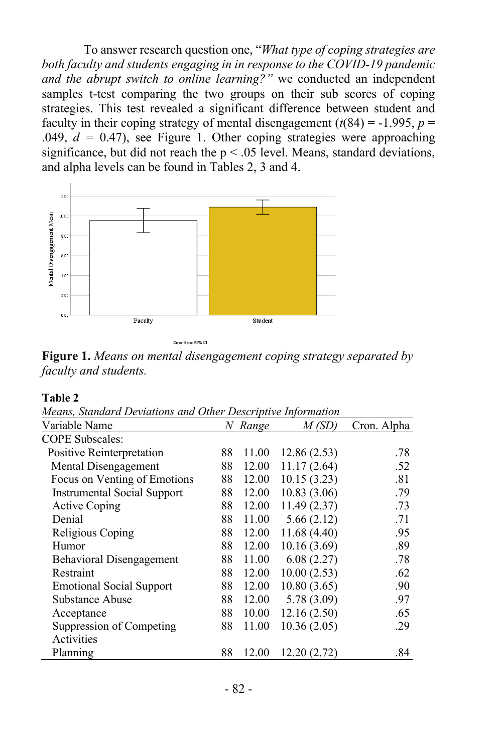To answer research question one, "*What type of coping strategies are both faculty and students engaging in in response to the COVID-19 pandemic and the abrupt switch to online learning?"* we conducted an independent samples t-test comparing the two groups on their sub scores of coping strategies. This test revealed a significant difference between student and faculty in their coping strategy of mental disengagement  $(t(84) = -1.995, p =$ .049,  $d = 0.47$ ), see Figure 1. Other coping strategies were approaching significance, but did not reach the  $p < .05$  level. Means, standard deviations, and alpha levels can be found in Tables 2, 3 and 4.



**Figure 1.** *Means on mental disengagement coping strategy separated by faculty and students.* 

#### **Table 2**

*Means, Standard Deviations and Other Descriptive Information*

| ncans, samaara Devianons ana Omer Deseriptive Information |    |         |             |             |
|-----------------------------------------------------------|----|---------|-------------|-------------|
| Variable Name                                             |    | N Range | M(SD)       | Cron. Alpha |
| <b>COPE Subscales:</b>                                    |    |         |             |             |
| Positive Reinterpretation                                 | 88 | 11.00   | 12.86(2.53) | .78         |
| Mental Disengagement                                      | 88 | 12.00   | 11.17(2.64) | .52         |
| Focus on Venting of Emotions                              | 88 | 12.00   | 10.15(3.23) | .81         |
| <b>Instrumental Social Support</b>                        | 88 | 12.00   | 10.83(3.06) | .79         |
| <b>Active Coping</b>                                      | 88 | 12.00   | 11.49(2.37) | .73         |
| Denial                                                    | 88 | 11.00   | 5.66(2.12)  | .71         |
| Religious Coping                                          | 88 | 12.00   | 11.68(4.40) | .95         |
| Humor                                                     | 88 | 12.00   | 10.16(3.69) | .89         |
| Behavioral Disengagement                                  | 88 | 11.00   | 6.08(2.27)  | .78         |
| Restraint                                                 | 88 | 12.00   | 10.00(2.53) | .62         |
| <b>Emotional Social Support</b>                           | 88 | 12.00   | 10.80(3.65) | .90         |
| Substance Abuse                                           | 88 | 12.00   | 5.78(3.09)  | .97         |
| Acceptance                                                | 88 | 10.00   | 12.16(2.50) | .65         |
| Suppression of Competing                                  | 88 | 11.00   | 10.36(2.05) | .29         |
| Activities                                                |    |         |             |             |
| Planning                                                  | 88 | 12.00   | 12.20(2.72) | .84         |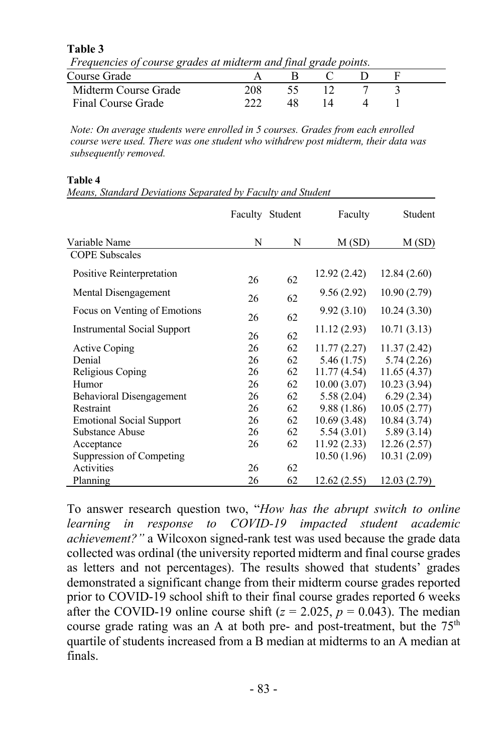**Table 3** 

*Frequencies of course grades at midterm and final grade points.*

| Course Grade         |     |  |  |  |
|----------------------|-----|--|--|--|
| Midterm Course Grade | 208 |  |  |  |
| Final Course Grade   |     |  |  |  |

*Note: On average students were enrolled in 5 courses. Grades from each enrolled course were used. There was one student who withdrew post midterm, their data was subsequently removed.*

#### **Table 4**

*Means, Standard Deviations Separated by Faculty and Student*

|                                 |    | Faculty Student | Faculty      | Student      |
|---------------------------------|----|-----------------|--------------|--------------|
| Variable Name                   | N  | N               | M(SD)        | M(SD)        |
| <b>COPE Subscales</b>           |    |                 |              |              |
| Positive Reinterpretation       | 26 | 62              | 12.92 (2.42) | 12.84(2.60)  |
| Mental Disengagement            | 26 | 62              | 9.56(2.92)   | 10.90(2.79)  |
| Focus on Venting of Emotions    | 26 | 62              | 9.92(3.10)   | 10.24(3.30)  |
| Instrumental Social Support     | 26 | 62              | 11.12(2.93)  | 10.71(3.13)  |
| <b>Active Coping</b>            | 26 | 62              | 11.77(2.27)  | 11.37(2.42)  |
| Denial                          | 26 | 62              | 5.46(1.75)   | 5.74(2.26)   |
| Religious Coping                | 26 | 62              | 11.77(4.54)  | 11.65(4.37)  |
| Humor                           | 26 | 62              | 10.00(3.07)  | 10.23 (3.94) |
| Behavioral Disengagement        | 26 | 62              | 5.58(2.04)   | 6.29(2.34)   |
| Restraint                       | 26 | 62              | 9.88 (1.86)  | 10.05(2.77)  |
| <b>Emotional Social Support</b> | 26 | 62              | 10.69(3.48)  | 10.84(3.74)  |
| Substance Abuse                 | 26 | 62              | 5.54(3.01)   | 5.89(3.14)   |
| Acceptance                      | 26 | 62              | 11.92(2.33)  | 12.26(2.57)  |
| Suppression of Competing        |    |                 | 10.50(1.96)  | 10.31(2.09)  |
| Activities                      | 26 | 62              |              |              |
| Planning                        | 26 | 62              | 12.62 (2.55) | 12.03(2.79)  |

To answer research question two, "*How has the abrupt switch to online learning in response to COVID-19 impacted student academic achievement?"* a Wilcoxon signed-rank test was used because the grade data collected was ordinal (the university reported midterm and final course grades as letters and not percentages). The results showed that students' grades demonstrated a significant change from their midterm course grades reported prior to COVID-19 school shift to their final course grades reported 6 weeks after the COVID-19 online course shift  $(z = 2.025, p = 0.043)$ . The median course grade rating was an A at both pre- and post-treatment, but the  $75<sup>th</sup>$ quartile of students increased from a B median at midterms to an A median at finals.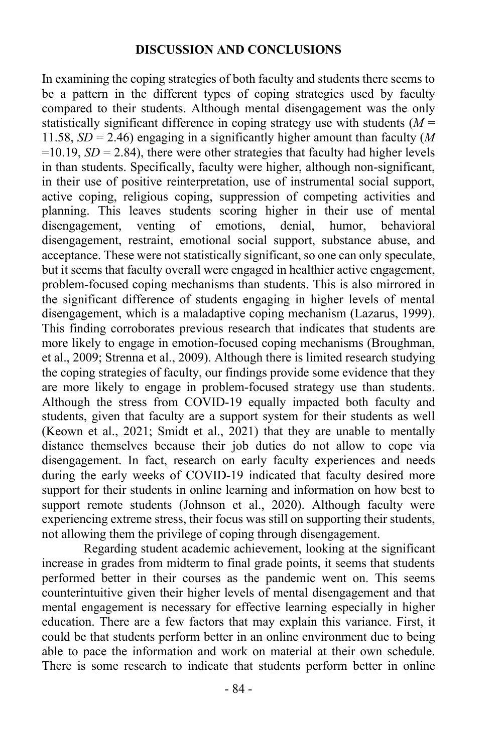#### **DISCUSSION AND CONCLUSIONS**

In examining the coping strategies of both faculty and students there seems to be a pattern in the different types of coping strategies used by faculty compared to their students. Although mental disengagement was the only statistically significant difference in coping strategy use with students  $(M =$ 11.58, *SD* = 2.46) engaging in a significantly higher amount than faculty (*M*  $=10.19$ , *SD* = 2.84), there were other strategies that faculty had higher levels in than students. Specifically, faculty were higher, although non-significant, in their use of positive reinterpretation, use of instrumental social support, active coping, religious coping, suppression of competing activities and planning. This leaves students scoring higher in their use of mental disengagement, venting of emotions, denial, humor, behavioral disengagement, restraint, emotional social support, substance abuse, and acceptance. These were not statistically significant, so one can only speculate, but it seems that faculty overall were engaged in healthier active engagement, problem-focused coping mechanisms than students. This is also mirrored in the significant difference of students engaging in higher levels of mental disengagement, which is a maladaptive coping mechanism (Lazarus, 1999). This finding corroborates previous research that indicates that students are more likely to engage in emotion-focused coping mechanisms (Broughman, et al., 2009; Strenna et al., 2009). Although there is limited research studying the coping strategies of faculty, our findings provide some evidence that they are more likely to engage in problem-focused strategy use than students. Although the stress from COVID-19 equally impacted both faculty and students, given that faculty are a support system for their students as well (Keown et al., 2021; Smidt et al., 2021) that they are unable to mentally distance themselves because their job duties do not allow to cope via disengagement. In fact, research on early faculty experiences and needs during the early weeks of COVID-19 indicated that faculty desired more support for their students in online learning and information on how best to support remote students (Johnson et al., 2020). Although faculty were experiencing extreme stress, their focus was still on supporting their students, not allowing them the privilege of coping through disengagement.

Regarding student academic achievement, looking at the significant increase in grades from midterm to final grade points, it seems that students performed better in their courses as the pandemic went on. This seems counterintuitive given their higher levels of mental disengagement and that mental engagement is necessary for effective learning especially in higher education. There are a few factors that may explain this variance. First, it could be that students perform better in an online environment due to being able to pace the information and work on material at their own schedule. There is some research to indicate that students perform better in online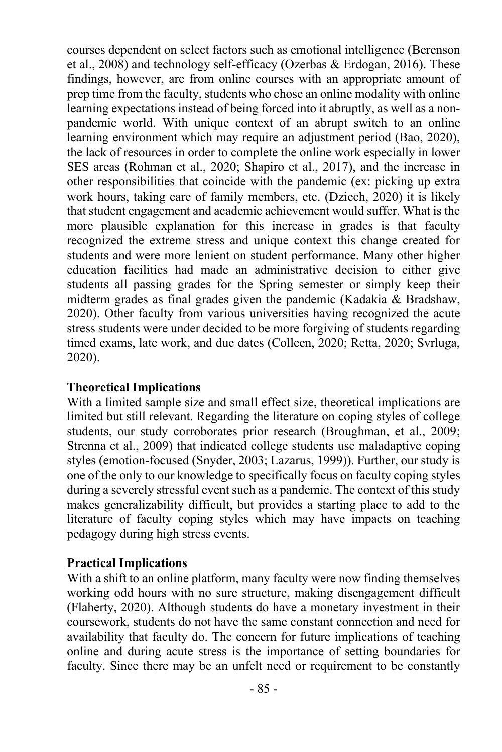courses dependent on select factors such as emotional intelligence (Berenson et al., 2008) and technology self-efficacy (Ozerbas & Erdogan, 2016). These findings, however, are from online courses with an appropriate amount of prep time from the faculty, students who chose an online modality with online learning expectations instead of being forced into it abruptly, as well as a nonpandemic world. With unique context of an abrupt switch to an online learning environment which may require an adjustment period (Bao, 2020), the lack of resources in order to complete the online work especially in lower SES areas (Rohman et al., 2020; Shapiro et al., 2017), and the increase in other responsibilities that coincide with the pandemic (ex: picking up extra work hours, taking care of family members, etc. (Dziech, 2020) it is likely that student engagement and academic achievement would suffer. What is the more plausible explanation for this increase in grades is that faculty recognized the extreme stress and unique context this change created for students and were more lenient on student performance. Many other higher education facilities had made an administrative decision to either give students all passing grades for the Spring semester or simply keep their midterm grades as final grades given the pandemic (Kadakia & Bradshaw, 2020). Other faculty from various universities having recognized the acute stress students were under decided to be more forgiving of students regarding timed exams, late work, and due dates (Colleen, 2020; Retta, 2020; Svrluga, 2020).

## **Theoretical Implications**

With a limited sample size and small effect size, theoretical implications are limited but still relevant. Regarding the literature on coping styles of college students, our study corroborates prior research (Broughman, et al., 2009; Strenna et al., 2009) that indicated college students use maladaptive coping styles (emotion-focused (Snyder, 2003; Lazarus, 1999)). Further, our study is one of the only to our knowledge to specifically focus on faculty coping styles during a severely stressful event such as a pandemic. The context of this study makes generalizability difficult, but provides a starting place to add to the literature of faculty coping styles which may have impacts on teaching pedagogy during high stress events.

## **Practical Implications**

With a shift to an online platform, many faculty were now finding themselves working odd hours with no sure structure, making disengagement difficult (Flaherty, 2020). Although students do have a monetary investment in their coursework, students do not have the same constant connection and need for availability that faculty do. The concern for future implications of teaching online and during acute stress is the importance of setting boundaries for faculty. Since there may be an unfelt need or requirement to be constantly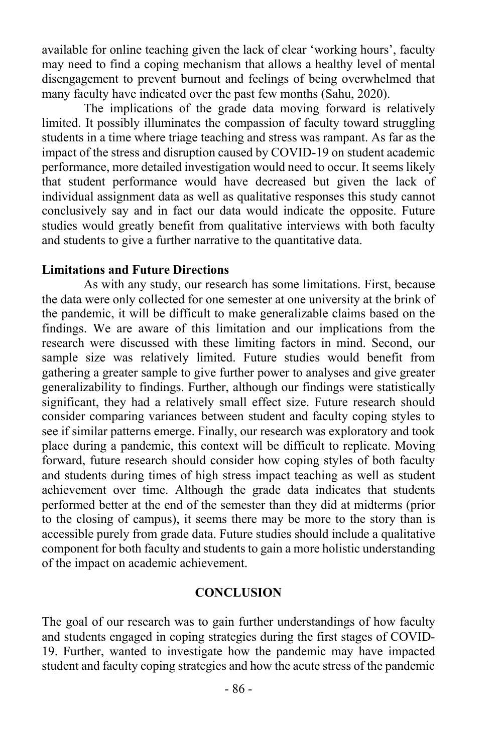available for online teaching given the lack of clear 'working hours', faculty may need to find a coping mechanism that allows a healthy level of mental disengagement to prevent burnout and feelings of being overwhelmed that many faculty have indicated over the past few months (Sahu, 2020).

The implications of the grade data moving forward is relatively limited. It possibly illuminates the compassion of faculty toward struggling students in a time where triage teaching and stress was rampant. As far as the impact of the stress and disruption caused by COVID-19 on student academic performance, more detailed investigation would need to occur. It seems likely that student performance would have decreased but given the lack of individual assignment data as well as qualitative responses this study cannot conclusively say and in fact our data would indicate the opposite. Future studies would greatly benefit from qualitative interviews with both faculty and students to give a further narrative to the quantitative data.

#### **Limitations and Future Directions**

As with any study, our research has some limitations. First, because the data were only collected for one semester at one university at the brink of the pandemic, it will be difficult to make generalizable claims based on the findings. We are aware of this limitation and our implications from the research were discussed with these limiting factors in mind. Second, our sample size was relatively limited. Future studies would benefit from gathering a greater sample to give further power to analyses and give greater generalizability to findings. Further, although our findings were statistically significant, they had a relatively small effect size. Future research should consider comparing variances between student and faculty coping styles to see if similar patterns emerge. Finally, our research was exploratory and took place during a pandemic, this context will be difficult to replicate. Moving forward, future research should consider how coping styles of both faculty and students during times of high stress impact teaching as well as student achievement over time. Although the grade data indicates that students performed better at the end of the semester than they did at midterms (prior to the closing of campus), it seems there may be more to the story than is accessible purely from grade data. Future studies should include a qualitative component for both faculty and students to gain a more holistic understanding of the impact on academic achievement.

#### **CONCLUSION**

The goal of our research was to gain further understandings of how faculty and students engaged in coping strategies during the first stages of COVID-19. Further, wanted to investigate how the pandemic may have impacted student and faculty coping strategies and how the acute stress of the pandemic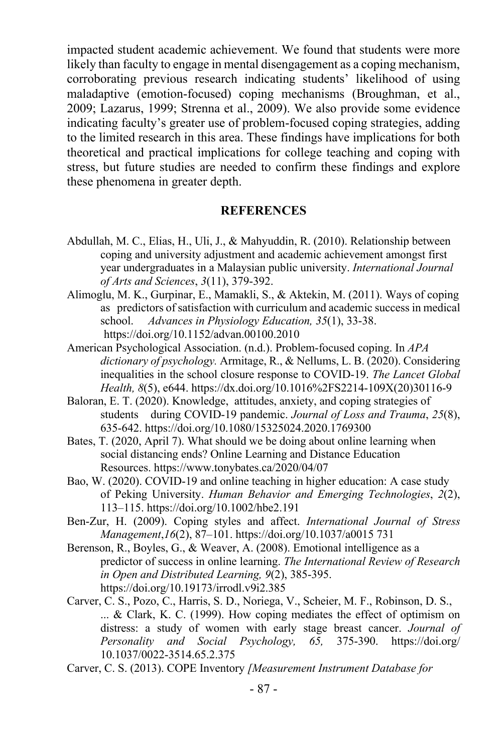impacted student academic achievement. We found that students were more likely than faculty to engage in mental disengagement as a coping mechanism, corroborating previous research indicating students' likelihood of using maladaptive (emotion-focused) coping mechanisms (Broughman, et al., 2009; Lazarus, 1999; Strenna et al., 2009). We also provide some evidence indicating faculty's greater use of problem-focused coping strategies, adding to the limited research in this area. These findings have implications for both theoretical and practical implications for college teaching and coping with stress, but future studies are needed to confirm these findings and explore these phenomena in greater depth.

#### **REFERENCES**

- Abdullah, M. C., Elias, H., Uli, J., & Mahyuddin, R. (2010). Relationship between coping and university adjustment and academic achievement amongst first year undergraduates in a Malaysian public university. *International Journal of Arts and Sciences*, *3*(11), 379-392.
- Alimoglu, M. K., Gurpinar, E., Mamakli, S., & Aktekin, M. (2011). Ways of coping as predictors of satisfaction with curriculum and academic success in medical school. *Advances in Physiology Education, 35*(1), 33-38. https://doi.org/10.1152/advan.00100.2010
- American Psychological Association. (n.d.). Problem-focused coping. In *APA dictionary of psychology.* Armitage, R., & Nellums, L. B. (2020). Considering inequalities in the school closure response to COVID-19. *The Lancet Global Health, 8*(5), e644. https://dx.doi.org/10.1016%2FS2214-109X(20)30116-9
- Baloran, E. T. (2020). Knowledge, attitudes, anxiety, and coping strategies of students during COVID-19 pandemic. *Journal of Loss and Trauma*, *25*(8), 635-642. https://doi.org/10.1080/15325024.2020.1769300
- Bates, T. (2020, April 7). What should we be doing about online learning when social distancing ends? Online Learning and Distance Education Resources. https://www.tonybates.ca/2020/04/07
- Bao, W. (2020). COVID-19 and online teaching in higher education: A case study of Peking University. *Human Behavior and Emerging Technologies*, *2*(2), 113–115. https://doi.org/10.1002/hbe2.191
- Ben-Zur, H. (2009). Coping styles and affect. *International Journal of Stress Management*,*16*(2), 87–101. https://doi.org/10.1037/a0015 731
- Berenson, R., Boyles, G., & Weaver, A. (2008). Emotional intelligence as a predictor of success in online learning. *The International Review of Research in Open and Distributed Learning, 9*(2), 385-395. https://doi.org/10.19173/irrodl.v9i2.385
- Carver, C. S., Pozo, C., Harris, S. D., Noriega, V., Scheier, M. F., Robinson, D. S., ... & Clark, K. C. (1999). How coping mediates the effect of optimism on distress: a study of women with early stage breast cancer. *Journal of Personality and Social Psychology, 65,* 375-390. https://doi.org/ 10.1037/0022-3514.65.2.375
- Carver, C. S. (2013). COPE Inventory *[Measurement Instrument Database for*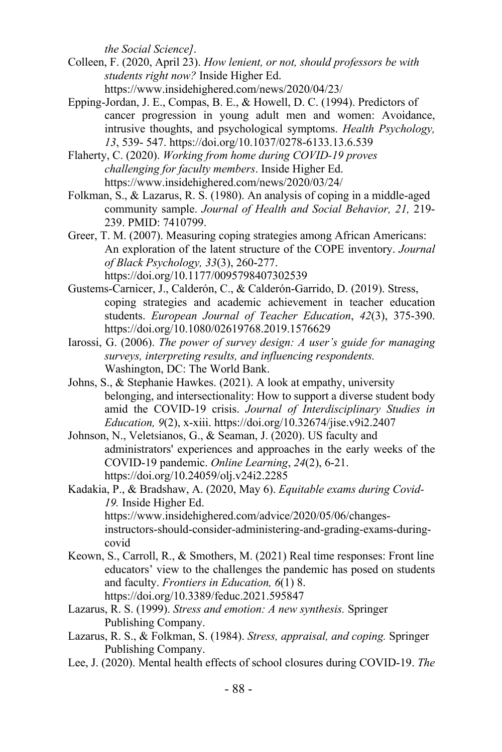*the Social Science]*.

- Colleen, F. (2020, April 23). *How lenient, or not, should professors be with students right now?* Inside Higher Ed. https://www.insidehighered.com/news/2020/04/23/
- Epping-Jordan, J. E., Compas, B. E., & Howell, D. C. (1994). Predictors of cancer progression in young adult men and women: Avoidance, intrusive thoughts, and psychological symptoms. *Health Psychology, 13*, 539- 547. https://doi.org/10.1037/0278-6133.13.6.539

Flaherty, C. (2020). *Working from home during COVID-19 proves challenging for faculty members*. Inside Higher Ed. https://www.insidehighered.com/news/2020/03/24/

Folkman, S., & Lazarus, R. S. (1980). An analysis of coping in a middle-aged community sample. *Journal of Health and Social Behavior, 21,* 219- 239. PMID: 7410799.

Greer, T. M. (2007). Measuring coping strategies among African Americans: An exploration of the latent structure of the COPE inventory. *Journal of Black Psychology, 33*(3), 260-277. https://doi.org/10.1177/0095798407302539

- Gustems-Carnicer, J., Calderón, C., & Calderón-Garrido, D. (2019). Stress, coping strategies and academic achievement in teacher education students. *European Journal of Teacher Education*, *42*(3), 375-390. https://doi.org/10.1080/02619768.2019.1576629
- Iarossi, G. (2006). *The power of survey design: A user's guide for managing surveys, interpreting results, and influencing respondents.* Washington, DC: The World Bank.
- Johns, S., & Stephanie Hawkes. (2021). A look at empathy, university belonging, and intersectionality: How to support a diverse student body amid the COVID-19 crisis. *Journal of Interdisciplinary Studies in Education, 9*(2), x-xiii. https://doi.org/10.32674/jise.v9i2.2407
- Johnson, N., Veletsianos, G., & Seaman, J. (2020). US faculty and administrators' experiences and approaches in the early weeks of the COVID-19 pandemic. *Online Learning*, *24*(2), 6-21. https://doi.org/10.24059/olj.v24i2.2285
- Kadakia, P., & Bradshaw, A. (2020, May 6). *Equitable exams during Covid-19.* Inside Higher Ed. https://www.insidehighered.com/advice/2020/05/06/changesinstructors-should-consider-administering-and-grading-exams-duringcovid
- Keown, S., Carroll, R., & Smothers, M. (2021) Real time responses: Front line educators' view to the challenges the pandemic has posed on students and faculty. *Frontiers in Education, 6*(1) 8. https://doi.org/10.3389/feduc.2021.595847
- Lazarus, R. S. (1999). *Stress and emotion: A new synthesis.* Springer Publishing Company.
- Lazarus, R. S., & Folkman, S. (1984). *Stress, appraisal, and coping.* Springer Publishing Company.
- Lee, J. (2020). Mental health effects of school closures during COVID-19. *The*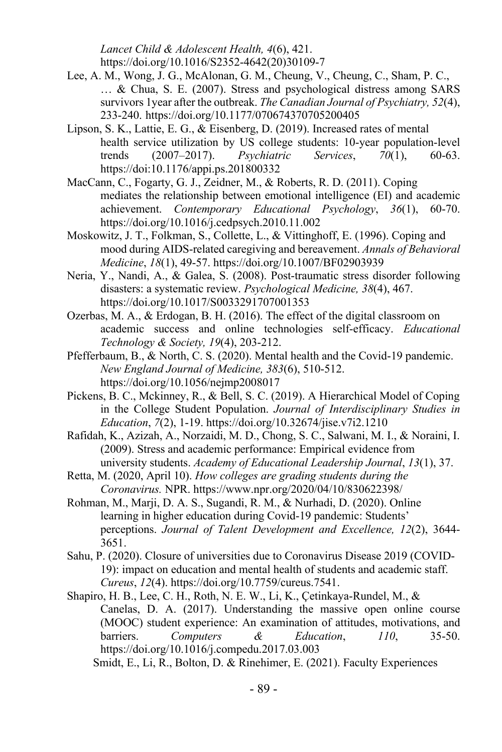*Lancet Child & Adolescent Health, 4*(6), 421. https://doi.org/10.1016/S2352-4642(20)30109-7

- Lee, A. M., Wong, J. G., McAlonan, G. M., Cheung, V., Cheung, C., Sham, P. C., … & Chua, S. E. (2007). Stress and psychological distress among SARS survivors 1year after the outbreak. *The Canadian Journal of Psychiatry, 52*(4), 233-240. https://doi.org/10.1177/070674370705200405
- Lipson, S. K., Lattie, E. G., & Eisenberg, D. (2019). Increased rates of mental health service utilization by US college students: 10-year population-level trends (2007–2017). *Psychiatric Services*, *70*(1), 60-63. https://doi:10.1176/appi.ps.201800332
- MacCann, C., Fogarty, G. J., Zeidner, M., & Roberts, R. D. (2011). Coping mediates the relationship between emotional intelligence (EI) and academic achievement. *Contemporary Educational Psychology*, *36*(1), 60-70. https://doi.org/10.1016/j.cedpsych.2010.11.002
- Moskowitz, J. T., Folkman, S., Collette, L., & Vittinghoff, E. (1996). Coping and mood during AIDS-related caregiving and bereavement. *Annals of Behavioral Medicine*, *18*(1), 49-57. https://doi.org/10.1007/BF02903939
- Neria, Y., Nandi, A., & Galea, S. (2008). Post-traumatic stress disorder following disasters: a systematic review. *Psychological Medicine, 38*(4), 467. https://doi.org/10.1017/S0033291707001353
- Ozerbas, M. A., & Erdogan, B. H. (2016). The effect of the digital classroom on academic success and online technologies self-efficacy. *Educational Technology & Society, 19*(4), 203-212.
- Pfefferbaum, B., & North, C. S. (2020). Mental health and the Covid-19 pandemic. *New England Journal of Medicine, 383*(6), 510-512. https://doi.org/10.1056/nejmp2008017
- Pickens, B. C., Mckinney, R., & Bell, S. C. (2019). A Hierarchical Model of Coping in the College Student Population. *Journal of Interdisciplinary Studies in Education*, *7*(2), 1-19. https://doi.org/10.32674/jise.v7i2.1210
- Rafidah, K., Azizah, A., Norzaidi, M. D., Chong, S. C., Salwani, M. I., & Noraini, I. (2009). Stress and academic performance: Empirical evidence from university students. *Academy of Educational Leadership Journal*, *13*(1), 37.
- Retta, M. (2020, April 10). *How colleges are grading students during the Coronavirus.* NPR. https://www.npr.org/2020/04/10/830622398/
- Rohman, M., Marji, D. A. S., Sugandi, R. M., & Nurhadi, D. (2020). Online learning in higher education during Covid-19 pandemic: Students' perceptions. *Journal of Talent Development and Excellence, 12*(2), 3644- 3651.
- Sahu, P. (2020). Closure of universities due to Coronavirus Disease 2019 (COVID-19): impact on education and mental health of students and academic staff. *Cureus*, *12*(4). https://doi.org/10.7759/cureus.7541.
- Shapiro, H. B., Lee, C. H., Roth, N. E. W., Li, K., Çetinkaya-Rundel, M., & Canelas, D. A. (2017). Understanding the massive open online course (MOOC) student experience: An examination of attitudes, motivations, and barriers. *Computers & Education*, *110*, 35-50. https://doi.org/10.1016/j.compedu.2017.03.003

Smidt, E., Li, R., Bolton, D. & Rinehimer, E. (2021). Faculty Experiences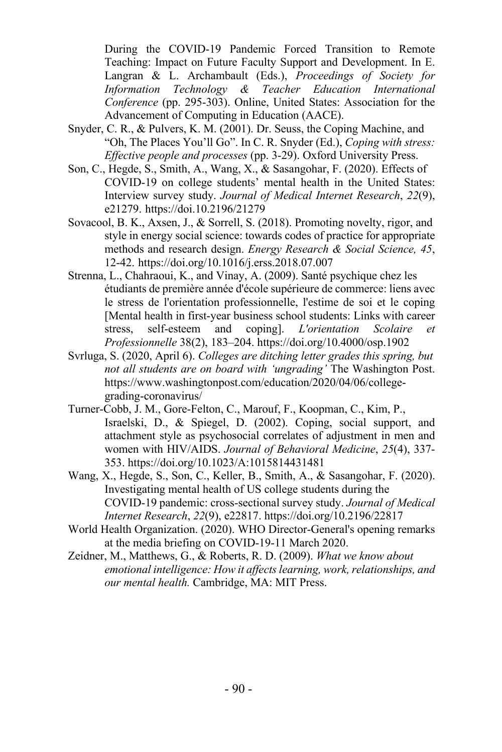During the COVID-19 Pandemic Forced Transition to Remote Teaching: Impact on Future Faculty Support and Development. In E. Langran & L. Archambault (Eds.), *Proceedings of Society for Information Technology & Teacher Education International Conference* (pp. 295-303). Online, United States: Association for the Advancement of Computing in Education (AACE).

- Snyder, C. R., & Pulvers, K. M. (2001). Dr. Seuss, the Coping Machine, and "Oh, The Places You'll Go". In C. R. Snyder (Ed.), *Coping with stress: Effective people and processes* (pp. 3-29). Oxford University Press.
- Son, C., Hegde, S., Smith, A., Wang, X., & Sasangohar, F. (2020). Effects of COVID-19 on college students' mental health in the United States: Interview survey study. *Journal of Medical Internet Research*, *22*(9), e21279. https://doi.10.2196/21279
- Sovacool, B. K., Axsen, J., & Sorrell, S. (2018). Promoting novelty, rigor, and style in energy social science: towards codes of practice for appropriate methods and research design. *Energy Research & Social Science, 45*, 12-42. https://doi.org/10.1016/j.erss.2018.07.007
- Strenna, L., Chahraoui, K., and Vinay, A. (2009). Santé psychique chez les étudiants de première année d'école supérieure de commerce: liens avec le stress de l'orientation professionnelle, l'estime de soi et le coping [Mental health in first-year business school students: Links with career stress, self-esteem and coping]. *L'orientation Scolaire et Professionnelle* 38(2), 183–204. https://doi.org/10.4000/osp.1902
- Svrluga, S. (2020, April 6). *Colleges are ditching letter grades this spring, but not all students are on board with 'ungrading'* The Washington Post. https://www.washingtonpost.com/education/2020/04/06/collegegrading-coronavirus/
- Turner-Cobb, J. M., Gore-Felton, C., Marouf, F., Koopman, C., Kim, P., Israelski, D., & Spiegel, D. (2002). Coping, social support, and attachment style as psychosocial correlates of adjustment in men and women with HIV/AIDS. *Journal of Behavioral Medicine*, *25*(4), 337- 353. https://doi.org/10.1023/A:1015814431481
- Wang, X., Hegde, S., Son, C., Keller, B., Smith, A., & Sasangohar, F. (2020). Investigating mental health of US college students during the COVID-19 pandemic: cross-sectional survey study. *Journal of Medical Internet Research*, *22*(9), e22817. https://doi.org/10.2196/22817
- World Health Organization. (2020). WHO Director-General's opening remarks at the media briefing on COVID-19-11 March 2020.
- Zeidner, M., Matthews, G., & Roberts, R. D. (2009). *What we know about emotional intelligence: How it affects learning, work, relationships, and our mental health.* Cambridge, MA: MIT Press.